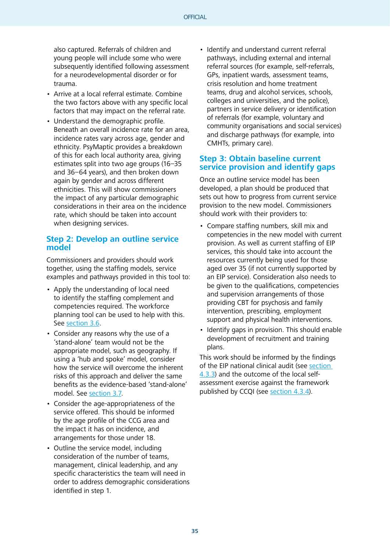also captured. Referrals of children and young people will include some who were subsequently identified following assessment for a neurodevelopmental disorder or for trauma.

- Arrive at a local referral estimate. Combine the two factors above with any specific local factors that may impact on the referral rate.
- Understand the demographic profile. Beneath an overall incidence rate for an area, incidence rates vary across age, gender and ethnicity. PsyMaptic provides a breakdown of this for each local authority area, giving estimates split into two age groups (16–35 and 36–64 years), and then broken down again by gender and across different ethnicities. This will show commissioners the impact of any particular demographic considerations in their area on the incidence rate, which should be taken into account when designing services.

## **Step 2: Develop an outline service model**

Commissioners and providers should work together, using the staffing models, service examples and pathways provided in this tool to:

- Apply the understanding of local need to identify the staffing complement and competencies required. The workforce planning tool can be used to help with this. See [section 3.6.](#page-19-0)
- Consider any reasons why the use of a 'stand-alone' team would not be the appropriate model, such as geography. If using a 'hub and spoke' model, consider how the service will overcome the inherent risks of this approach and deliver the same benefits as the evidence-based 'stand-alone' model. See [section 3.7](#page-19-0).
- Consider the age-appropriateness of the service offered. This should be informed by the age profile of the CCG area and the impact it has on incidence, and arrangements for those under 18.
- Outline the service model, including consideration of the number of teams, management, clinical leadership, and any specific characteristics the team will need in order to address demographic considerations identified in step 1.

• Identify and understand current referral pathways, including external and internal referral sources (for example, self-referrals, GPs, inpatient wards, assessment teams, crisis resolution and home treatment teams, drug and alcohol services, schools, colleges and universities, and the police), partners in service delivery or identification of referrals (for example, voluntary and community organisations and social services) and discharge pathways (for example, into CMHTs, primary care).

# **Step 3: Obtain baseline current service provision and identify gaps**

Once an outline service model has been developed, a plan should be produced that sets out how to progress from current service provision to the new model. Commissioners should work with their providers to:

- Compare staffing numbers, skill mix and competencies in the new model with current provision. As well as current staffing of EIP services, this should take into account the resources currently being used for those aged over 35 (if not currently supported by an EIP service). Consideration also needs to be given to the qualifications, competencies and supervision arrangements of those providing CBT for psychosis and family intervention, prescribing, employment support and physical health interventions.
- Identify gaps in provision. This should enable development of recruitment and training plans.

This work should be informed by the findings of the EIP national clinical audit (see [section](#page-31-0)  [4.3.3](#page-31-0)) and the outcome of the local selfassessment exercise against the framework published by CCQI (see [section 4.3.4\)](#page-31-0).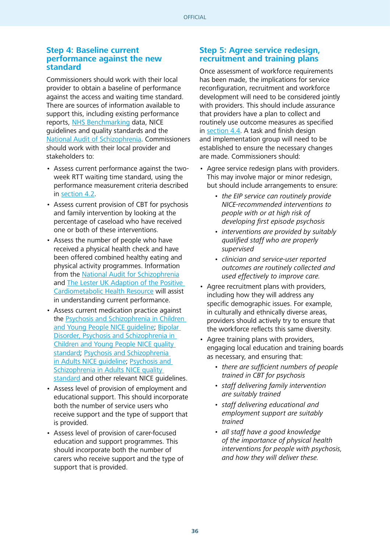## **Step 4: Baseline current performance against the new standard**

Commissioners should work with their local provider to obtain a baseline of performance against the access and waiting time standard. There are sources of information available to support this, including existing performance reports, [NHS Benchmarking](http://www.nhsbenchmarking.nhs.uk/index.php) data, NICE guidelines and quality standards and the [National Audit of Schizophrenia.](http://www.rcpsych.ac.uk/workinpsychiatry/qualityimprovement/nationalclinicalaudits/nationalschizophreniaaudit/reports.aspx) Commissioners should work with their local provider and stakeholders to:

- Assess current performance against the twoweek RTT waiting time standard, using the performance measurement criteria described in [section 4.2](#page-24-0).
- Assess current provision of CBT for psychosis and family intervention by looking at the percentage of caseload who have received one or both of these interventions.
- Assess the number of people who have received a physical health check and have been offered combined healthy eating and physical activity programmes. Information from the [National Audit for Schizophrenia](http://www.rcpsych.ac.uk/workinpsychiatry/qualityimprovement/nationalclinicalaudits/nationalschizophreniaaudit/reports.aspx) and [The Lester UK Adaption of the Positive](http://www.rcpsych.ac.uk/quality/nationalclinicalaudits/schizophrenia/nationalschizophreniaaudit/nasresources.aspx)  [Cardiometabolic Health Resource](http://www.rcpsych.ac.uk/quality/nationalclinicalaudits/schizophrenia/nationalschizophreniaaudit/nasresources.aspx) will assist in understanding current performance.
- Assess current medication practice against the [Psychosis and Schizophrenia in Children](http://www.nice.org.uk/guidance/cg155)  [and Young People NICE guideline](http://www.nice.org.uk/guidance/cg155); [Bipolar](http://www.nice.org.uk/guidance/qs102)  [Disorder, Psychosis and Schizophrenia in](http://www.nice.org.uk/guidance/qs102)  [Children and Young People NICE quality](http://www.nice.org.uk/guidance/qs102)  [standard](http://www.nice.org.uk/guidance/qs102); Psychosis and Schizophrenia [in Adults NICE guideline](http://www.nice.org.uk/guidance/cg178); [Psychosis and](http://www.nice.org.uk/guidance/QS80)  [Schizophrenia in Adults NICE quality](http://www.nice.org.uk/guidance/QS80)  [standard](http://www.nice.org.uk/guidance/QS80) and other relevant NICE guidelines.
- Assess level of provision of employment and educational support. This should incorporate both the number of service users who receive support and the type of support that is provided.
- Assess level of provision of carer-focused education and support programmes. This should incorporate both the number of carers who receive support and the type of support that is provided.

## **Step 5: Agree service redesign, recruitment and training plans**

Once assessment of workforce requirements has been made, the implications for service reconfiguration, recruitment and workforce development will need to be considered jointly with providers. This should include assurance that providers have a plan to collect and routinely use outcome measures as specified in [section 4.4.](#page-31-0) A task and finish design and implementation group will need to be established to ensure the necessary changes are made. Commissioners should:

- Agree service redesign plans with providers. This may involve major or minor redesign, but should include arrangements to ensure:
	- the EIP service can routinely provide NICE-recommended interventions to people with or at high risk of developing first episode psychosis
	- interventions are provided by suitably qualified staff who are properly supervised
	- clinician and service-user reported outcomes are routinely collected and used effectively to improve care.
- Agree recruitment plans with providers, including how they will address any specific demographic issues. For example, in culturally and ethnically diverse areas, providers should actively try to ensure that the workforce reflects this same diversity.
- Agree training plans with providers, engaging local education and training boards as necessary, and ensuring that:
	- there are sufficient numbers of people trained in CBT for psychosis
	- staff delivering family intervention are suitably trained
	- staff delivering educational and employment support are suitably trained
	- all staff have a good knowledge of the importance of physical health interventions for people with psychosis, and how they will deliver these.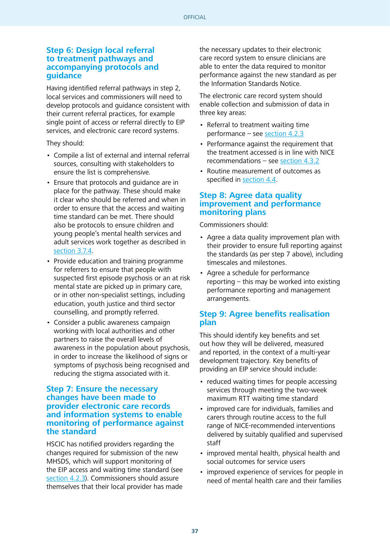## **Step 6: Design local referral to treatment pathways and accompanying protocols and guidance**

Having identified referral pathways in step 2, local services and commissioners will need to develop protocols and guidance consistent with their current referral practices, for example single point of access or referral directly to EIP services, and electronic care record systems.

They should:

- Compile a list of external and internal referral sources, consulting with stakeholders to ensure the list is comprehensive.
- Ensure that protocols and guidance are in place for the pathway. These should make it clear who should be referred and when in order to ensure that the access and waiting time standard can be met. There should also be protocols to ensure children and young people's mental health services and adult services work together as described in [section 3.7.4.](#page-21-0)
- Provide education and training programme for referrers to ensure that people with suspected first episode psychosis or an at risk mental state are picked up in primary care, or in other non-specialist settings, including education, youth justice and third sector counselling, and promptly referred.
- Consider a public awareness campaign working with local authorities and other partners to raise the overall levels of awareness in the population about psychosis, in order to increase the likelihood of signs or symptoms of psychosis being recognised and reducing the stigma associated with it.

## **Step 7: Ensure the necessary changes have been made to provider electronic care records and information systems to enable monitoring of performance against the standard**

HSCIC has notified providers regarding the changes required for submission of the new MHSDS, which will support monitoring of the EIP access and waiting time standard (see [section 4.2.3](#page-28-0)). Commissioners should assure themselves that their local provider has made

the necessary updates to their electronic care record system to ensure clinicians are able to enter the data required to monitor performance against the new standard as per the Information Standards Notice.

The electronic care record system should enable collection and submission of data in three key areas:

- Referral to treatment waiting time performance – see [section 4.2.3](#page-28-0)
- Performance against the requirement that the treatment accessed is in line with NICE recommendations – see [section 4.3.2](#page-30-0)
- Routine measurement of outcomes as specified in [section 4.4](#page-31-0).

## **Step 8: Agree data quality improvement and performance monitoring plans**

Commissioners should:

- Agree a data quality improvement plan with their provider to ensure full reporting against the standards (as per step 7 above), including timescales and milestones.
- Agree a schedule for performance reporting – this may be worked into existing performance reporting and management arrangements.

# **Step 9: Agree benefits realisation plan**

This should identify key benefits and set out how they will be delivered, measured and reported, in the context of a multi-year development trajectory. Key benefits of providing an EIP service should include:

- reduced waiting times for people accessing services through meeting the two-week maximum RTT waiting time standard
- improved care for individuals, families and carers through routine access to the full range of NICE-recommended interventions delivered by suitably qualified and supervised staff
- improved mental health, physical health and social outcomes for service users
- improved experience of services for people in need of mental health care and their families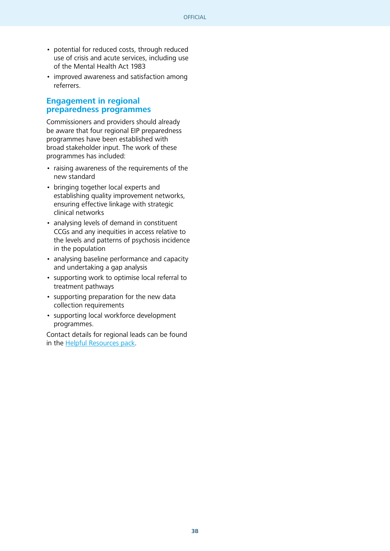- potential for reduced costs, through reduced use of crisis and acute services, including use of the Mental Health Act 1983
- improved awareness and satisfaction among referrers.

## **Engagement in regional preparedness programmes**

Commissioners and providers should already be aware that four regional EIP preparedness programmes have been established with broad stakeholder input. The work of these programmes has included:

- raising awareness of the requirements of the new standard
- bringing together local experts and establishing quality improvement networks, ensuring effective linkage with strategic clinical networks
- analysing levels of demand in constituent CCGs and any inequities in access relative to the levels and patterns of psychosis incidence in the population
- analysing baseline performance and capacity and undertaking a gap analysis
- supporting work to optimise local referral to treatment pathways
- supporting preparation for the new data collection requirements
- supporting local workforce development programmes.

Contact details for regional leads can be found in the [Helpful Resources pack.](https://www.england.nhs.uk/mentalhealth/wp-content/uploads/sites/29/2016/04/eip-resources.pdf)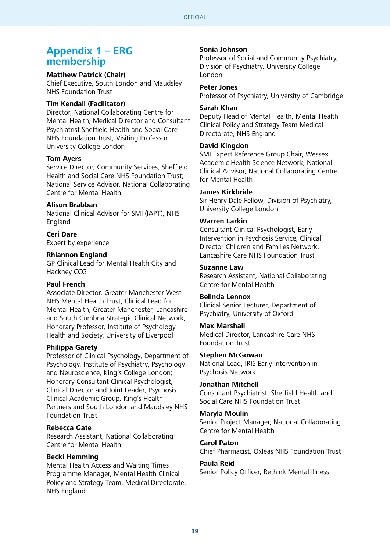# **Appendix 1 – ERG membership**

## **Matthew Patrick (Chair)**

Chief Executive, South London and Maudsley NHS Foundation Trust

## **Tim Kendall (Facilitator)**

Director, National Collaborating Centre for Mental Health; Medical Director and Consultant Psychiatrist Sheffield Health and Social Care NHS Foundation Trust; Visiting Professor, University College London

### **Tom Ayers**

Service Director, Community Services, Sheffield Health and Social Care NHS Foundation Trust; National Service Advisor, National Collaborating Centre for Mental Health

#### **Alison Brabban**

National Clinical Advisor for SMI (IAPT), NHS England

## **Ceri Dare**

Expert by experience

### **Rhiannon England**

GP Clinical Lead for Mental Health City and Hackney CCG

### **Paul French**

Associate Director, Greater Manchester West NHS Mental Health Trust; Clinical Lead for Mental Health, Greater Manchester, Lancashire and South Cumbria Strategic Clinical Network; Honorary Professor, Institute of Psychology Health and Society, University of Liverpool

### **Philippa Garety**

Professor of Clinical Psychology, Department of Psychology, Institute of Psychiatry, Psychology and Neuroscience, King's College London; Honorary Consultant Clinical Psychologist, Clinical Director and Joint Leader, Psychosis Clinical Academic Group, King's Health Partners and South London and Maudsley NHS Foundation Trust

### **Rebecca Gate**

Research Assistant, National Collaborating Centre for Mental Health

### **Becki Hemming**

Mental Health Access and Waiting Times Programme Manager, Mental Health Clinical Policy and Strategy Team, Medical Directorate, NHS England

## **Sonia Johnson**

Professor of Social and Community Psychiatry, Division of Psychiatry, University College London

#### **Peter Jones**

Professor of Psychiatry, University of Cambridge

#### **Sarah Khan**

Deputy Head of Mental Health, Mental Health Clinical Policy and Strategy Team Medical Directorate, NHS England

### **David Kingdon**

SMI Expert Reference Group Chair, Wessex Academic Health Science Network; National Clinical Advisor, National Collaborating Centre for Mental Health

#### **James Kirkbride**

Sir Henry Dale Fellow, Division of Psychiatry, University College London

### **Warren Larkin**

Consultant Clinical Psychologist, Early Intervention in Psychosis Service; Clinical Director Children and Families Network, Lancashire Care NHS Foundation Trust

## **Suzanne Law**

Research Assistant, National Collaborating Centre for Mental Health

## **Belinda Lennox**

Clinical Senior Lecturer, Department of Psychiatry, University of Oxford

## **Max Marshall**

Medical Director, Lancashire Care NHS Foundation Trust

## **Stephen McGowan**

National Lead, IRIS Early Intervention in Psychosis Network

### **Jonathan Mitchell**

Consultant Psychiatrist, Sheffield Health and Social Care NHS Foundation Trust

### **Maryla Moulin**

Senior Project Manager, National Collaborating Centre for Mental Health

### **Carol Paton**

Chief Pharmacist, Oxleas NHS Foundation Trust

### **Paula Reid**

Senior Policy Officer, Rethink Mental Illness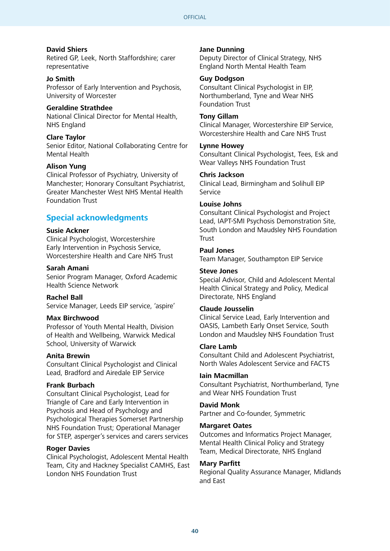## **David Shiers**

Retired GP, Leek, North Staffordshire; carer representative

## **Jo Smith**

Professor of Early Intervention and Psychosis, University of Worcester

## **Geraldine Strathdee**

National Clinical Director for Mental Health, NHS England

## **Clare Taylor**

Senior Editor, National Collaborating Centre for Mental Health

## **Alison Yung**

Clinical Professor of Psychiatry, University of Manchester; Honorary Consultant Psychiatrist, Greater Manchester West NHS Mental Health Foundation Trust

# **Special acknowledgments**

## **Susie Ackner**

Clinical Psychologist, Worcestershire Early Intervention in Psychosis Service, Worcestershire Health and Care NHS Trust

## **Sarah Amani**

Senior Program Manager, Oxford Academic Health Science Network

## **Rachel Ball**

Service Manager, Leeds EIP service, 'aspire'

### **Max Birchwood**

Professor of Youth Mental Health, Division of Health and Wellbeing, Warwick Medical School, University of Warwick

## **Anita Brewin**

Consultant Clinical Psychologist and Clinical Lead, Bradford and Airedale EIP Service

## **Frank Burbach**

Consultant Clinical Psychologist, Lead for Triangle of Care and Early Intervention in Psychosis and Head of Psychology and Psychological Therapies Somerset Partnership NHS Foundation Trust; Operational Manager for STEP, asperger's services and carers services

### **Roger Davies**

Clinical Psychologist, Adolescent Mental Health Team, City and Hackney Specialist CAMHS, East London NHS Foundation Trust

## **Jane Dunning**

Deputy Director of Clinical Strategy, NHS England North Mental Health Team

## **Guy Dodgson**

Consultant Clinical Psychologist in EIP, Northumberland, Tyne and Wear NHS Foundation Trust

## **Tony Gillam**

Clinical Manager, Worcestershire EIP Service, Worcestershire Health and Care NHS Trust

### **Lynne Howey**

Consultant Clinical Psychologist, Tees, Esk and Wear Valleys NHS Foundation Trust

## **Chris Jackson**

Clinical Lead, Birmingham and Solihull EIP Service

## **Louise Johns**

Consultant Clinical Psychologist and Project Lead, IAPT-SMI Psychosis Demonstration Site, South London and Maudsley NHS Foundation **Trust** 

## **Paul Jones**

Team Manager, Southampton EIP Service

### **Steve Jones**

Special Advisor, Child and Adolescent Mental Health Clinical Strategy and Policy, Medical Directorate, NHS England

### **Claude Jousselin**

Clinical Service Lead, Early Intervention and OASIS, Lambeth Early Onset Service, South London and Maudsley NHS Foundation Trust

### **Clare Lamb**

Consultant Child and Adolescent Psychiatrist, North Wales Adolescent Service and FACTS

### **Iain Macmillan**

Consultant Psychiatrist, Northumberland, Tyne and Wear NHS Foundation Trust

## **David Monk**

Partner and Co-founder, Symmetric

### **Margaret Oates**

Outcomes and Informatics Project Manager, Mental Health Clinical Policy and Strategy Team, Medical Directorate, NHS England

## **Mary Parfitt**

Regional Quality Assurance Manager, Midlands and East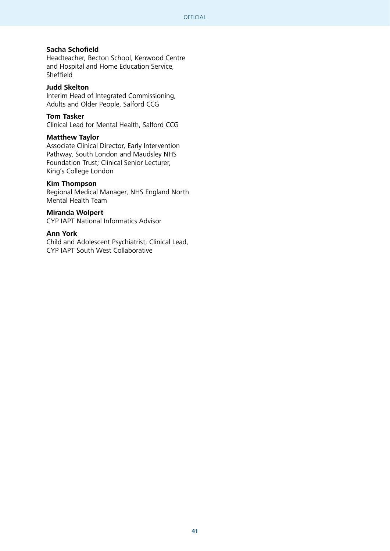## **Sacha Schofield**

Headteacher, Becton School, Kenwood Centre and Hospital and Home Education Service, Sheffield

#### **Judd Skelton**

Interim Head of Integrated Commissioning, Adults and Older People, Salford CCG

## **Tom Tasker**

Clinical Lead for Mental Health, Salford CCG

#### **Matthew Taylor**

Associate Clinical Director, Early Intervention Pathway, South London and Maudsley NHS Foundation Trust; Clinical Senior Lecturer, King's College London

#### **Kim Thompson**

Regional Medical Manager, NHS England North Mental Health Team

## **Miranda Wolpert**

CYP IAPT National Informatics Advisor

### **Ann York**

Child and Adolescent Psychiatrist, Clinical Lead, CYP IAPT South West Collaborative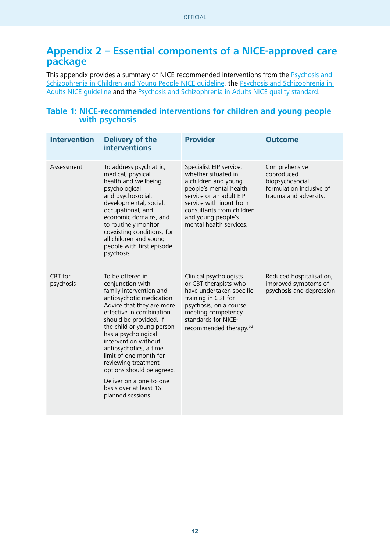# **Appendix 2 – Essential components of a NICE-approved care package**

This appendix provides a summary of NICE-recommended interventions from the **Psychosis and** [Schizophrenia in Children and Young People NICE guideline,](http://www.nice.org.uk/guidance/cg155) the Psychosis and Schizophrenia in [Adults NICE guideline](http://www.nice.org.uk/guidance/cg178) and the [Psychosis and Schizophrenia in Adults NICE quality standard](http://www.nice.org.uk/guidance/qs80).

# **Table 1: NICE-recommended interventions for children and young people with psychosis**

| <b>Intervention</b>  | Delivery of the<br>interventions                                                                                                                                                                                                                                                                                                                                                                                                              | <b>Provider</b>                                                                                                                                                                                                                      | <b>Outcome</b>                                                                                      |
|----------------------|-----------------------------------------------------------------------------------------------------------------------------------------------------------------------------------------------------------------------------------------------------------------------------------------------------------------------------------------------------------------------------------------------------------------------------------------------|--------------------------------------------------------------------------------------------------------------------------------------------------------------------------------------------------------------------------------------|-----------------------------------------------------------------------------------------------------|
| Assessment           | To address psychiatric,<br>medical, physical<br>health and wellbeing,<br>psychological<br>and psychosocial,<br>developmental, social,<br>occupational, and<br>economic domains, and<br>to routinely monitor<br>coexisting conditions, for<br>all children and young<br>people with first episode<br>psychosis.                                                                                                                                | Specialist EIP service,<br>whether situated in<br>a children and young<br>people's mental health<br>service or an adult EIP<br>service with input from<br>consultants from children<br>and young people's<br>mental health services. | Comprehensive<br>coproduced<br>biopsychosocial<br>formulation inclusive of<br>trauma and adversity. |
| CBT for<br>psychosis | To be offered in<br>conjunction with<br>family intervention and<br>antipsychotic medication.<br>Advice that they are more<br>effective in combination<br>should be provided. If<br>the child or young person<br>has a psychological<br>intervention without<br>antipsychotics, a time<br>limit of one month for<br>reviewing treatment<br>options should be agreed.<br>Deliver on a one-to-one<br>basis over at least 16<br>planned sessions. | Clinical psychologists<br>or CBT therapists who<br>have undertaken specific<br>training in CBT for<br>psychosis, on a course<br>meeting competency<br>standards for NICE-<br>recommended therapy. <sup>52</sup>                      | Reduced hospitalisation,<br>improved symptoms of<br>psychosis and depression.                       |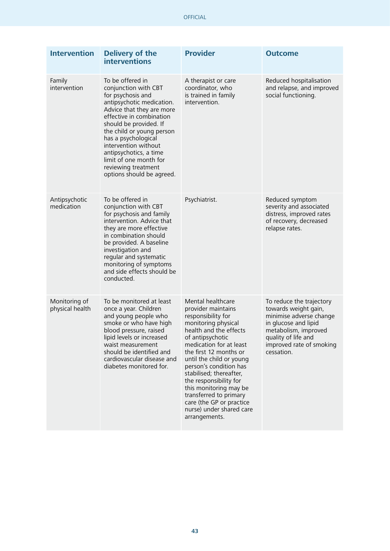| <b>Intervention</b>              | Delivery of the<br><b>interventions</b>                                                                                                                                                                                                                                                                                                                           | <b>Provider</b>                                                                                                                                                                                                                                                                                                                                                                                                                 | <b>Outcome</b>                                                                                                                                                                               |  |
|----------------------------------|-------------------------------------------------------------------------------------------------------------------------------------------------------------------------------------------------------------------------------------------------------------------------------------------------------------------------------------------------------------------|---------------------------------------------------------------------------------------------------------------------------------------------------------------------------------------------------------------------------------------------------------------------------------------------------------------------------------------------------------------------------------------------------------------------------------|----------------------------------------------------------------------------------------------------------------------------------------------------------------------------------------------|--|
| Family<br>intervention           | To be offered in<br>conjunction with CBT<br>for psychosis and<br>antipsychotic medication.<br>Advice that they are more<br>effective in combination<br>should be provided. If<br>the child or young person<br>has a psychological<br>intervention without<br>antipsychotics, a time<br>limit of one month for<br>reviewing treatment<br>options should be agreed. | A therapist or care<br>coordinator, who<br>is trained in family<br>intervention.                                                                                                                                                                                                                                                                                                                                                | Reduced hospitalisation<br>and relapse, and improved<br>social functioning.                                                                                                                  |  |
| Antipsychotic<br>medication      | To be offered in<br>conjunction with CBT<br>for psychosis and family<br>intervention. Advice that<br>they are more effective<br>in combination should<br>be provided. A baseline<br>investigation and<br>regular and systematic<br>monitoring of symptoms<br>and side effects should be<br>conducted.                                                             | Psychiatrist.                                                                                                                                                                                                                                                                                                                                                                                                                   | Reduced symptom<br>severity and associated<br>distress, improved rates<br>of recovery, decreased<br>relapse rates.                                                                           |  |
| Monitoring of<br>physical health | To be monitored at least<br>once a year. Children<br>and young people who<br>smoke or who have high<br>blood pressure, raised<br>lipid levels or increased<br>waist measurement<br>should be identified and<br>cardiovascular disease and<br>diabetes monitored for.                                                                                              | Mental healthcare<br>provider maintains<br>responsibility for<br>monitoring physical<br>health and the effects<br>of antipsychotic<br>medication for at least<br>the first 12 months or<br>until the child or young<br>person's condition has<br>stabilised; thereafter,<br>the responsibility for<br>this monitoring may be<br>transferred to primary<br>care (the GP or practice<br>nurse) under shared care<br>arrangements. | To reduce the trajectory<br>towards weight gain,<br>minimise adverse change<br>in glucose and lipid<br>metabolism, improved<br>quality of life and<br>improved rate of smoking<br>cessation. |  |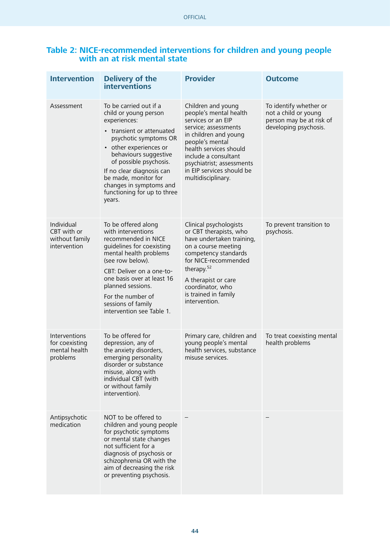| <b>Intervention</b>                                                 | Delivery of the<br><b>interventions</b>                                                                                                                                                                                                                                                                                     | <b>Provider</b>                                                                                                                                                                                                                                                          | <b>Outcome</b>                                                                                      |
|---------------------------------------------------------------------|-----------------------------------------------------------------------------------------------------------------------------------------------------------------------------------------------------------------------------------------------------------------------------------------------------------------------------|--------------------------------------------------------------------------------------------------------------------------------------------------------------------------------------------------------------------------------------------------------------------------|-----------------------------------------------------------------------------------------------------|
| Assessment                                                          | To be carried out if a<br>child or young person<br>experiences:<br>• transient or attenuated<br>psychotic symptoms OR<br>• other experiences or<br>behaviours suggestive<br>of possible psychosis.<br>If no clear diagnosis can<br>be made, monitor for<br>changes in symptoms and<br>functioning for up to three<br>years. | Children and young<br>people's mental health<br>services or an EIP<br>service; assessments<br>in children and young<br>people's mental<br>health services should<br>include a consultant<br>psychiatrist; assessments<br>in EIP services should be<br>multidisciplinary. | To identify whether or<br>not a child or young<br>person may be at risk of<br>developing psychosis. |
| Individual<br>CBT with or<br>without family<br>intervention         | To be offered along<br>with interventions<br>recommended in NICE<br>guidelines for coexisting<br>mental health problems<br>(see row below).<br>CBT: Deliver on a one-to-<br>one basis over at least 16<br>planned sessions.<br>For the number of<br>sessions of family<br>intervention see Table 1.                         | Clinical psychologists<br>or CBT therapists, who<br>have undertaken training,<br>on a course meeting<br>competency standards<br>for NICE-recommended<br>therapy. <sup>52</sup><br>A therapist or care<br>coordinator, who<br>is trained in family<br>intervention.       | To prevent transition to<br>psychosis.                                                              |
| <b>Interventions</b><br>for coexisting<br>mental health<br>problems | To be offered for<br>depression, any of<br>the anxiety disorders,<br>emerging personality<br>disorder or substance<br>misuse, along with<br>individual CBT (with<br>or without family<br>intervention).                                                                                                                     | Primary care, children and<br>young people's mental<br>health services, substance<br>misuse services.                                                                                                                                                                    | To treat coexisting mental<br>health problems                                                       |
| Antipsychotic<br>medication                                         | NOT to be offered to<br>children and young people<br>for psychotic symptoms<br>or mental state changes<br>not sufficient for a<br>diagnosis of psychosis or<br>schizophrenia OR with the<br>aim of decreasing the risk<br>or preventing psychosis.                                                                          |                                                                                                                                                                                                                                                                          |                                                                                                     |

## **Table 2: NICE-recommended interventions for children and young people with an at risk mental state**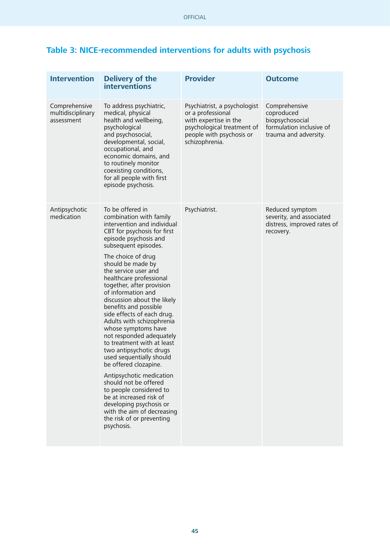# **Table 3: NICE-recommended interventions for adults with psychosis**

| <b>Intervention</b>                              | Delivery of the<br><b>interventions</b>                                                                                                                                                                                                                                                                                                                                                                                                                                                                                                                                                                                                                                                                                                                                                                        | <b>Provider</b>                                                                                                                                        | <b>Outcome</b>                                                                                      |
|--------------------------------------------------|----------------------------------------------------------------------------------------------------------------------------------------------------------------------------------------------------------------------------------------------------------------------------------------------------------------------------------------------------------------------------------------------------------------------------------------------------------------------------------------------------------------------------------------------------------------------------------------------------------------------------------------------------------------------------------------------------------------------------------------------------------------------------------------------------------------|--------------------------------------------------------------------------------------------------------------------------------------------------------|-----------------------------------------------------------------------------------------------------|
| Comprehensive<br>multidisciplinary<br>assessment | To address psychiatric,<br>medical, physical<br>health and wellbeing,<br>psychological<br>and psychosocial,<br>developmental, social,<br>occupational, and<br>economic domains, and<br>to routinely monitor<br>coexisting conditions,<br>for all people with first<br>episode psychosis.                                                                                                                                                                                                                                                                                                                                                                                                                                                                                                                       | Psychiatrist, a psychologist<br>or a professional<br>with expertise in the<br>psychological treatment of<br>people with psychosis or<br>schizophrenia. | Comprehensive<br>coproduced<br>biopsychosocial<br>formulation inclusive of<br>trauma and adversity. |
| Antipsychotic<br>medication                      | To be offered in<br>combination with family<br>intervention and individual<br>CBT for psychosis for first<br>episode psychosis and<br>subsequent episodes.<br>The choice of drug<br>should be made by<br>the service user and<br>healthcare professional<br>together, after provision<br>of information and<br>discussion about the likely<br>benefits and possible<br>side effects of each drug.<br>Adults with schizophrenia<br>whose symptoms have<br>not responded adequately<br>to treatment with at least<br>two antipsychotic drugs<br>used sequentially should<br>be offered clozapine.<br>Antipsychotic medication<br>should not be offered<br>to people considered to<br>be at increased risk of<br>developing psychosis or<br>with the aim of decreasing<br>the risk of or preventing<br>psychosis. | Psychiatrist.                                                                                                                                          | Reduced symptom<br>severity, and associated<br>distress, improved rates of<br>recovery.             |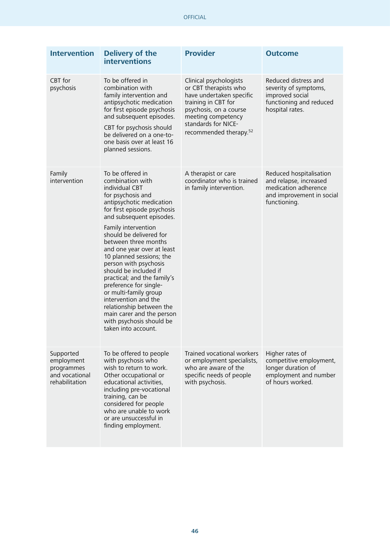| <b>Intervention</b>                                                       | Delivery of the<br><b>interventions</b>                                                                                                                                                                                                                                                                                                                                                                                                                                                                                                                                        | <b>Provider</b>                                                                                                                                                                                                 | <b>Outcome</b>                                                                                                         |  |  |
|---------------------------------------------------------------------------|--------------------------------------------------------------------------------------------------------------------------------------------------------------------------------------------------------------------------------------------------------------------------------------------------------------------------------------------------------------------------------------------------------------------------------------------------------------------------------------------------------------------------------------------------------------------------------|-----------------------------------------------------------------------------------------------------------------------------------------------------------------------------------------------------------------|------------------------------------------------------------------------------------------------------------------------|--|--|
| CBT for<br>psychosis                                                      | To be offered in<br>combination with<br>family intervention and<br>antipsychotic medication<br>for first episode psychosis<br>and subsequent episodes.<br>CBT for psychosis should<br>be delivered on a one-to-<br>one basis over at least 16<br>planned sessions.                                                                                                                                                                                                                                                                                                             | Clinical psychologists<br>or CBT therapists who<br>have undertaken specific<br>training in CBT for<br>psychosis, on a course<br>meeting competency<br>standards for NICE-<br>recommended therapy. <sup>52</sup> | Reduced distress and<br>severity of symptoms,<br>improved social<br>functioning and reduced<br>hospital rates.         |  |  |
| Family<br>intervention                                                    | To be offered in<br>combination with<br>individual CBT<br>for psychosis and<br>antipsychotic medication<br>for first episode psychosis<br>and subsequent episodes.<br>Family intervention<br>should be delivered for<br>between three months<br>and one year over at least<br>10 planned sessions; the<br>person with psychosis<br>should be included if<br>practical; and the family's<br>preference for single-<br>or multi-family group<br>intervention and the<br>relationship between the<br>main carer and the person<br>with psychosis should be<br>taken into account. | A therapist or care<br>coordinator who is trained<br>in family intervention.                                                                                                                                    | Reduced hospitalisation<br>and relapse, increased<br>medication adherence<br>and improvement in social<br>functioning. |  |  |
| Supported<br>employment<br>programmes<br>and vocational<br>rehabilitation | To be offered to people<br>with psychosis who<br>wish to return to work.<br>Other occupational or<br>educational activities,<br>including pre-vocational<br>training, can be<br>considered for people<br>who are unable to work<br>or are unsuccessful in<br>finding employment.                                                                                                                                                                                                                                                                                               | Trained vocational workers<br>or employment specialists,<br>who are aware of the<br>specific needs of people<br>with psychosis.                                                                                 | Higher rates of<br>competitive employment,<br>longer duration of<br>employment and number<br>of hours worked.          |  |  |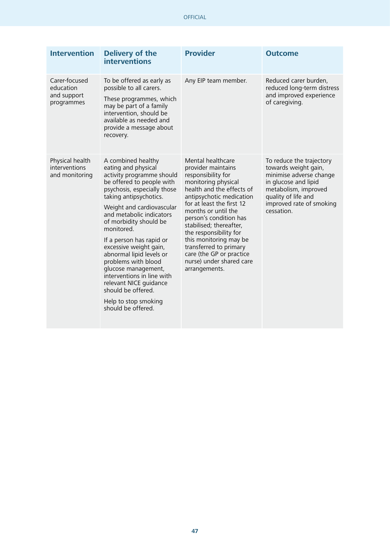| <b>Intervention</b>                                     | Delivery of the<br><b>interventions</b>                                                                                                                                                                                                                                                                                                                                                                                                                                                                                   | <b>Provider</b>                                                                                                                                                                                                                                                                                                                                                                                               | <b>Outcome</b>                                                                                                                                                                               |
|---------------------------------------------------------|---------------------------------------------------------------------------------------------------------------------------------------------------------------------------------------------------------------------------------------------------------------------------------------------------------------------------------------------------------------------------------------------------------------------------------------------------------------------------------------------------------------------------|---------------------------------------------------------------------------------------------------------------------------------------------------------------------------------------------------------------------------------------------------------------------------------------------------------------------------------------------------------------------------------------------------------------|----------------------------------------------------------------------------------------------------------------------------------------------------------------------------------------------|
| Carer-focused<br>education<br>and support<br>programmes | To be offered as early as<br>possible to all carers.<br>These programmes, which<br>may be part of a family<br>intervention, should be<br>available as needed and<br>provide a message about<br>recovery.                                                                                                                                                                                                                                                                                                                  | Any EIP team member.                                                                                                                                                                                                                                                                                                                                                                                          | Reduced carer burden,<br>reduced long-term distress<br>and improved experience<br>of caregiving.                                                                                             |
| Physical health<br>interventions<br>and monitoring      | A combined healthy<br>eating and physical<br>activity programme should<br>be offered to people with<br>psychosis, especially those<br>taking antipsychotics.<br>Weight and cardiovascular<br>and metabolic indicators<br>of morbidity should be<br>monitored.<br>If a person has rapid or<br>excessive weight gain,<br>abnormal lipid levels or<br>problems with blood<br>glucose management,<br>interventions in line with<br>relevant NICE guidance<br>should be offered.<br>Help to stop smoking<br>should be offered. | Mental healthcare<br>provider maintains<br>responsibility for<br>monitoring physical<br>health and the effects of<br>antipsychotic medication<br>for at least the first 12<br>months or until the<br>person's condition has<br>stabilised; thereafter,<br>the responsibility for<br>this monitoring may be<br>transferred to primary<br>care (the GP or practice<br>nurse) under shared care<br>arrangements. | To reduce the trajectory<br>towards weight gain,<br>minimise adverse change<br>in glucose and lipid<br>metabolism, improved<br>quality of life and<br>improved rate of smoking<br>cessation. |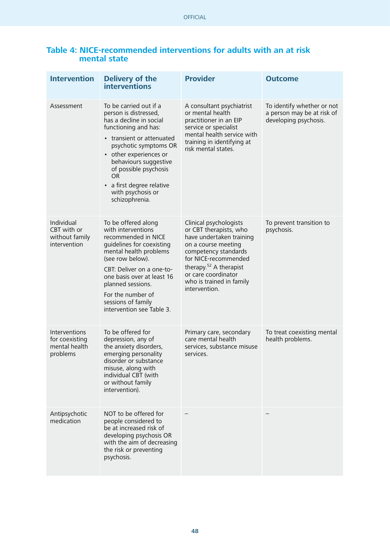| <b>Intervention</b>                                          | Delivery of the<br><b>interventions</b>                                                                                                                                                                                                                                                                       | <b>Provider</b>                                                                                                                                                                                                                                               | <b>Outcome</b>                                                                    |
|--------------------------------------------------------------|---------------------------------------------------------------------------------------------------------------------------------------------------------------------------------------------------------------------------------------------------------------------------------------------------------------|---------------------------------------------------------------------------------------------------------------------------------------------------------------------------------------------------------------------------------------------------------------|-----------------------------------------------------------------------------------|
| Assessment                                                   | To be carried out if a<br>person is distressed,<br>has a decline in social<br>functioning and has:<br>• transient or attenuated<br>psychotic symptoms OR<br>• other experiences or<br>behaviours suggestive<br>of possible psychosis<br>OR.<br>a first degree relative<br>with psychosis or<br>schizophrenia. | A consultant psychiatrist<br>or mental health<br>practitioner in an EIP<br>service or specialist<br>mental health service with<br>training in identifying at<br>risk mental states.                                                                           | To identify whether or not<br>a person may be at risk of<br>developing psychosis. |
| Individual<br>CBT with or<br>without family<br>intervention  | To be offered along<br>with interventions<br>recommended in NICE<br>guidelines for coexisting<br>mental health problems<br>(see row below).<br>CBT: Deliver on a one-to-<br>one basis over at least 16<br>planned sessions.<br>For the number of<br>sessions of family<br>intervention see Table 3.           | Clinical psychologists<br>or CBT therapists, who<br>have undertaken training<br>on a course meeting<br>competency standards<br>for NICE-recommended<br>therapy. <sup>52</sup> A therapist<br>or care coordinator<br>who is trained in family<br>intervention. | To prevent transition to<br>psychosis.                                            |
| Interventions<br>for coexisting<br>mental health<br>problems | To be offered for<br>depression, any of<br>the anxiety disorders,<br>emerging personality<br>disorder or substance<br>misuse, along with<br>individual CBT (with<br>or without family<br>intervention).                                                                                                       | Primary care, secondary<br>care mental health<br>services, substance misuse<br>services.                                                                                                                                                                      | To treat coexisting mental<br>health problems.                                    |
| Antipsychotic<br>medication                                  | NOT to be offered for<br>people considered to<br>be at increased risk of<br>developing psychosis OR<br>with the aim of decreasing<br>the risk or preventing<br>psychosis.                                                                                                                                     |                                                                                                                                                                                                                                                               |                                                                                   |

# **Table 4: NICE-recommended interventions for adults with an at risk mental state**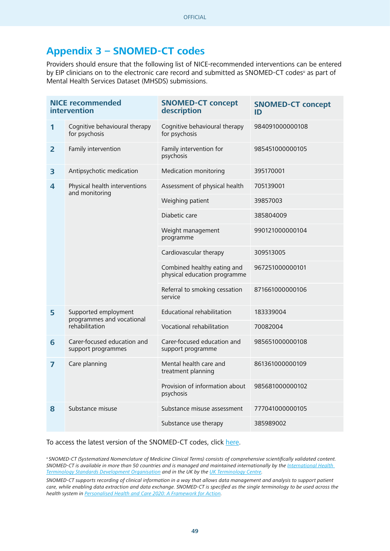# **Appendix 3 – SNOMED-CT codes**

Providers should ensure that the following list of NICE-recommended interventions can be entered by EIP clinicians on to the electronic care record and submitted as SNOMED-CT codes<sup>u</sup> as part of Mental Health Services Dataset (MHSDS) submissions.

| <b>NICE recommended</b><br>intervention                |                                                   | <b>SNOMED-CT concept</b><br>description                     | <b>SNOMED-CT concept</b><br>ID |  |
|--------------------------------------------------------|---------------------------------------------------|-------------------------------------------------------------|--------------------------------|--|
| 1                                                      | Cognitive behavioural therapy<br>for psychosis    | Cognitive behavioural therapy<br>for psychosis              | 984091000000108                |  |
| $\overline{2}$                                         | Family intervention                               | Family intervention for<br>psychosis                        | 985451000000105                |  |
| 3                                                      | Antipsychotic medication                          | Medication monitoring                                       | 395170001                      |  |
| 4                                                      | Physical health interventions<br>and monitoring   | Assessment of physical health                               | 705139001                      |  |
|                                                        |                                                   | Weighing patient                                            | 39857003                       |  |
|                                                        |                                                   | Diabetic care                                               | 385804009                      |  |
|                                                        |                                                   | Weight management<br>programme                              | 990121000000104                |  |
|                                                        |                                                   | Cardiovascular therapy                                      | 309513005                      |  |
|                                                        |                                                   | Combined healthy eating and<br>physical education programme | 967251000000101                |  |
|                                                        |                                                   | Referral to smoking cessation<br>service                    | 871661000000106                |  |
| Supported employment<br>5<br>programmes and vocational |                                                   | <b>Educational rehabilitation</b>                           | 183339004                      |  |
|                                                        | rehabilitation                                    | Vocational rehabilitation                                   | 70082004                       |  |
| 6                                                      | Carer-focused education and<br>support programmes | Carer-focused education and<br>support programme            | 985651000000108                |  |
| 7                                                      | Care planning                                     | Mental health care and<br>treatment planning                | 861361000000109                |  |
|                                                        |                                                   | Provision of information about<br>psychosis                 | 985681000000102                |  |
| 8                                                      | Substance misuse                                  | Substance misuse assessment                                 | 777041000000105                |  |
|                                                        |                                                   | Substance use therapy<br>385989002                          |                                |  |

To access the latest version of the SNOMED-CT codes, click [here.](https://isd.hscic.gov.uk/trud3/user/guest/group/0/home)

u SNOMED-CT (Systematized Nomenclature of Medicine Clinical Terms) consists of comprehensive scientifically validated content. SNOMED-CT is available in more than 50 countries and is managed and maintained internationally by the International Health [Terminology Standards Development Organisation](http://www.ihtsdo.org/) and in the UK by the [UK Terminology Centre.](http://systems.hscic.gov.uk/data/uktc)

SNOMED-CT supports recording of clinical information in a way that allows data management and analysis to support patient care, while enabling data extraction and data exchange. SNOMED-CT is specified as the single terminology to be used across the health system in [Personalised Health and Care 2020: A Framework for Action.](https://www.gov.uk/government/publications/personalised-health-and-care-2020)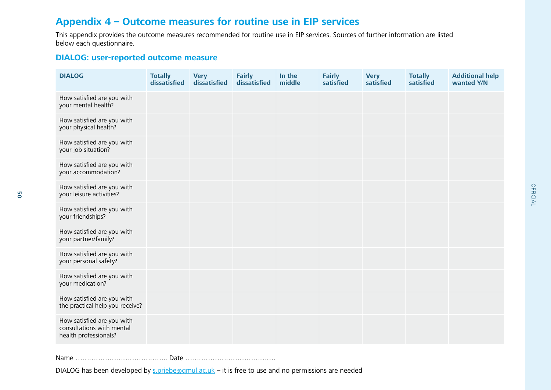# **Appendix 4 – Outcome measures for routine use in EIP services**

This appendix provides the outcome measures recommended for routine use in EIP services. Sources of further information are listed below each questionnaire.

# **DIALOG: user-reported outcome measure**

**50**

| <b>DIALOG</b>                                                                    | <b>Totally</b><br>dissatisfied | <b>Very</b><br>dissatisfied | <b>Fairly</b><br>dissatisfied | In the<br>middle | <b>Fairly</b><br>satisfied | <b>Very</b><br>satisfied | <b>Totally</b><br>satisfied | <b>Additional help</b><br>wanted Y/N |
|----------------------------------------------------------------------------------|--------------------------------|-----------------------------|-------------------------------|------------------|----------------------------|--------------------------|-----------------------------|--------------------------------------|
| How satisfied are you with<br>your mental health?                                |                                |                             |                               |                  |                            |                          |                             |                                      |
| How satisfied are you with<br>your physical health?                              |                                |                             |                               |                  |                            |                          |                             |                                      |
| How satisfied are you with<br>your job situation?                                |                                |                             |                               |                  |                            |                          |                             |                                      |
| How satisfied are you with<br>your accommodation?                                |                                |                             |                               |                  |                            |                          |                             |                                      |
| How satisfied are you with<br>your leisure activities?                           |                                |                             |                               |                  |                            |                          |                             |                                      |
| How satisfied are you with<br>your friendships?                                  |                                |                             |                               |                  |                            |                          |                             |                                      |
| How satisfied are you with<br>your partner/family?                               |                                |                             |                               |                  |                            |                          |                             |                                      |
| How satisfied are you with<br>your personal safety?                              |                                |                             |                               |                  |                            |                          |                             |                                      |
| How satisfied are you with<br>your medication?                                   |                                |                             |                               |                  |                            |                          |                             |                                      |
| How satisfied are you with<br>the practical help you receive?                    |                                |                             |                               |                  |                            |                          |                             |                                      |
| How satisfied are you with<br>consultations with mental<br>health professionals? |                                |                             |                               |                  |                            |                          |                             |                                      |

Name ………………………………….. Date ………………………………….

DIALOG has been developed by [s.priebe@qmul.ac.uk](mailto:s.priebe%40qmul.ac.uk?subject=) - it is free to use and no permissions are needed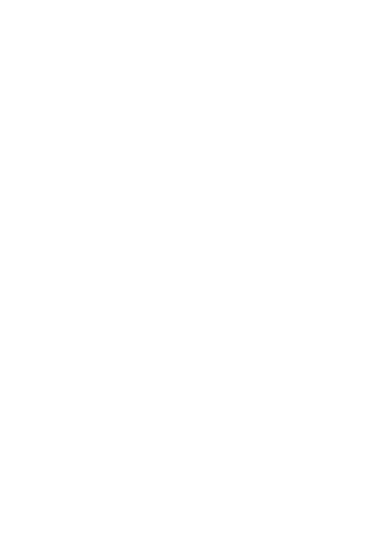## **Step 6: Design local referral** to treatment pathways and accompanying protocols and quidance

Having identified referral pathways in step 2, local services and commissioners will need to develop protocols and quidance consistent with their current referral practices, for example single point of access or referral directly to EIP services, and electronic care record systems.

They should:

- Compile a list of external and internal referral sources, consulting with stakeholders to ensure the list is comprehensive.
- Ensure that protocols and quidance are in place for the pathway. These should make it clear who should be referred and when in order to ensure that the access and waiting time standard can be met. There should also be protocols to ensure children and young people's mental health services and adult services work together as described in section 3.7.4.
- Provide education and training programme for referrers to ensure that people with suspected first episode psychosis or an at risk mental state are picked up in primary care, or in other non-specialist settings, including education, youth justice and third sector counselling, and promptly referred.
- Consider a public awareness campaign working with local authorities and other partners to raise the overall levels of awareness in the population about psychosis, in order to increase the likelihood of signs or symptoms of psychosis being recognised and reducing the stigma associated with it.

## **Step 7: Ensure the necessary** changes have been made to provider electronic care records and information systems to enable monitoring of performance against the standard

HSCIC has notified providers regarding the changes required for submission of the new MHSDS, which will support monitoring of the EIP access and waiting time standard (see section 4.2.3). Commissioners should assure themselves that their local provider has made

the necessary updates to their electronic care record system to ensure clinicians are able to enter the data required to monitor performance against the new standard as per the Information Standards Notice.

The electronic care record system should enable collection and submission of data in three key areas:

- Referral to treatment waiting time performance  $-$  see section 4.2.3
- Performance against the requirement that the treatment accessed is in line with NICE recommendations - see section 4.3.2
- Routine measurement of outcomes as specified in section 4.4.

## **Step 8: Agree data quality** improvement and performance monitoring plans

Commissioners should:

- Agree a data quality improvement plan with their provider to ensure full reporting against the standards (as per step 7 above), including timescales and milestones
- Agree a schedule for performance reporting - this may be worked into existing performance reporting and management arrangements.

# **Step 9: Agree benefits realisation** plan

This should identify key benefits and set out how they will be delivered, measured and reported, in the context of a multi-year development trajectory. Key benefits of providing an EIP service should include:

- reduced waiting times for people accessing services through meeting the two-week maximum RTT waiting time standard
- improved care for individuals, families and carers through routine access to the full range of NICE-recommended interventions delivered by suitably qualified and supervised staff
- improved mental health, physical health and social outcomes for service users
- improved experience of services for people in need of mental health care and their families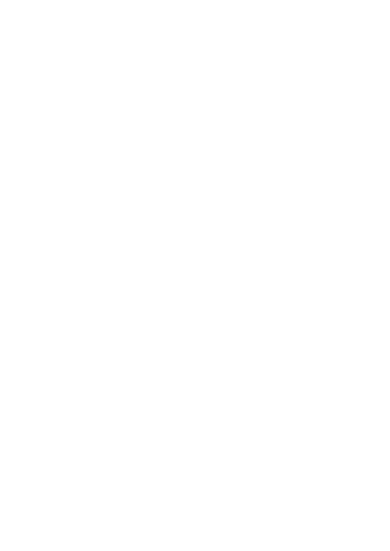also captured. Referrals of children and young people will include some who were subsequently identified following assessment for a neurodevelopmental disorder or for trauma.

- Arrive at a local referral estimate. Combine the two factors above with any specific local factors that may impact on the referral rate.
- Understand the demographic profile. Beneath an overall incidence rate for an area, incidence rates vary across age, gender and ethnicity. PsyMaptic provides a breakdown of this for each local authority area, giving estimates split into two age groups (16-35 and 36-64 years), and then broken down again by gender and across different ethnicities. This will show commissioners the impact of any particular demographic considerations in their area on the incidence rate, which should be taken into account when designing services.

## **Step 2: Develop an outline service** model

Commissioners and providers should work together, using the staffing models, service examples and pathways provided in this tool to:

- Apply the understanding of local need to identify the staffing complement and competencies required. The workforce planning tool can be used to help with this. See section 3.6.
- Consider any reasons why the use of a 'stand-alone' team would not be the appropriate model, such as geography. If using a 'hub and spoke' model, consider how the service will overcome the inherent risks of this approach and deliver the same benefits as the evidence-based 'stand-alone' model. See section 3.7.
- Consider the age-appropriateness of the service offered. This should be informed by the age profile of the CCG area and the impact it has on incidence, and arrangements for those under 18.
- Outline the service model, including consideration of the number of teams. management, clinical leadership, and any specific characteristics the team will need in order to address demographic considerations identified in step 1.

• Identify and understand current referral pathways, including external and internal referral sources (for example, self-referrals, GPs, inpatient wards, assessment teams, crisis resolution and home treatment teams, drug and alcohol services, schools, colleges and universities, and the police), partners in service delivery or identification of referrals (for example, voluntary and community organisations and social services) and discharge pathways (for example, into CMHTs, primary care).

# **Step 3: Obtain baseline current** service provision and identify gaps

Once an outline service model has been developed, a plan should be produced that sets out how to progress from current service provision to the new model. Commissioners should work with their providers to:

- Compare staffing numbers, skill mix and competencies in the new model with current provision. As well as current staffing of EIP services, this should take into account the resources currently being used for those aged over 35 (if not currently supported by an EIP service). Consideration also needs to be given to the qualifications, competencies and supervision arrangements of those providing CBT for psychosis and family intervention, prescribing, employment support and physical health interventions.
- Identify gaps in provision. This should enable development of recruitment and training plans.

This work should be informed by the findings of the FIP national clinical audit (see section 4.3.3) and the outcome of the local selfassessment exercise against the framework published by CCQI (see section 4.3.4).